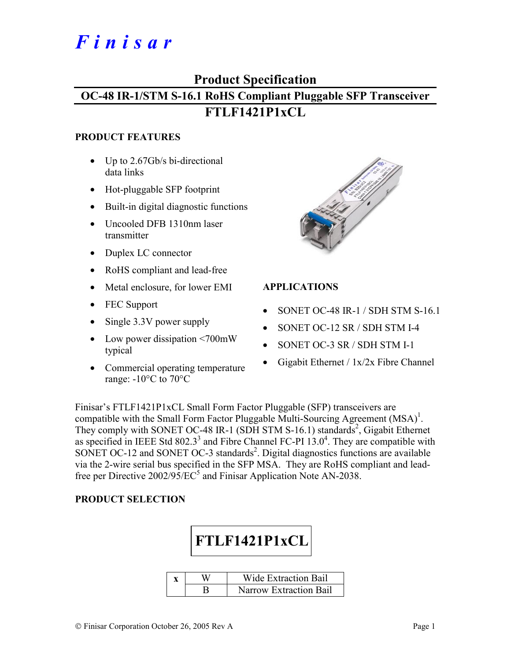# *Finisar*

## **Product Specification**

# **OC-48 IR-1/STM S-16.1 RoHS Compliant Pluggable SFP Transceiver FTLF1421P1xCL**

#### **PRODUCT FEATURES**

- Up to 2.67Gb/s bi-directional data links
- Hot-pluggable SFP footprint
- Built-in digital diagnostic functions
- Uncooled DFB 1310nm laser transmitter
- Duplex LC connector
- RoHS compliant and lead-free
- Metal enclosure, for lower EMI
- FEC Support
- Single 3.3V power supply
- Low power dissipation <700mW typical
- Commercial operating temperature range:  $-10\degree$ C to  $70\degree$ C



### **APPLICATIONS**

- SONET OC-48 IR-1 / SDH STM S-16.1
- SONET OC-12 SR / SDH STM I-4
- SONET OC-3 SR / SDH STM I-1
- Gigabit Ethernet / 1x/2x Fibre Channel

Finisar's FTLF1421P1xCL Small Form Factor Pluggable (SFP) transceivers are compatible with the Small Form Factor Pluggable Multi-Sourcing Agreement  $(MSA)^{1}$ . They comply with SONET OC-48 IR-1 (SDH STM S-16.1) standards<sup>2</sup>, Gigabit Ethernet as specified in IEEE Std 802.3<sup>3</sup> and Fibre Channel FC-PI  $13.0<sup>4</sup>$ . They are compatible with SONET OC-12 and SONET OC-3 standards<sup>2</sup>. Digital diagnostics functions are available via the 2-wire serial bus specified in the SFP MSA. They are RoHS compliant and leadfree per Directive  $2002/95/EC^5$  and Finisar Application Note AN-2038.

#### **PRODUCT SELECTION**



|  | Wide Extraction Bail          |
|--|-------------------------------|
|  | <b>Narrow Extraction Bail</b> |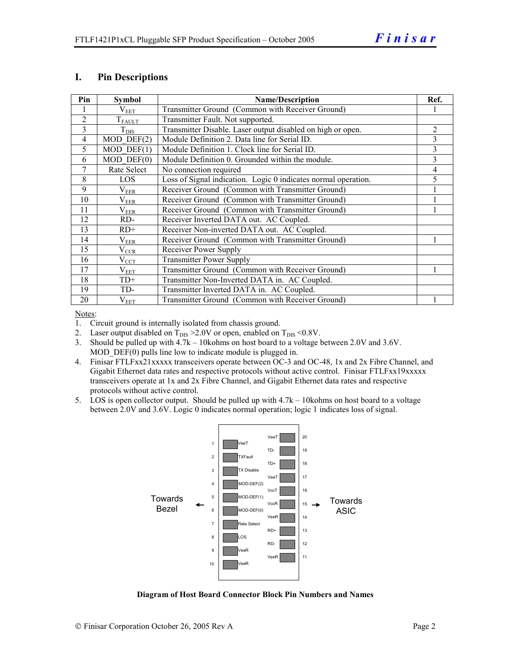#### **I. Pin Descriptions**

| Pin            | <b>Symbol</b>   | <b>Name/Description</b>                                        |   |  |  |
|----------------|-----------------|----------------------------------------------------------------|---|--|--|
|                | $\rm V_{EET}$   | Transmitter Ground (Common with Receiver Ground)               |   |  |  |
| 2              | $T_{FAULT}$     | Transmitter Fault. Not supported.                              |   |  |  |
| 3              | $T_{DIS}$       | Transmitter Disable. Laser output disabled on high or open.    | 2 |  |  |
| $\overline{4}$ | $MOD$ DEF $(2)$ | Module Definition 2. Data line for Serial ID.                  | 3 |  |  |
| 5              | $MOD$ DEF $(1)$ | Module Definition 1. Clock line for Serial ID.                 | 3 |  |  |
| 6              | $MOD$ $DEF(0)$  | Module Definition 0. Grounded within the module.               | 3 |  |  |
| 7              | Rate Select     | No connection required                                         | 4 |  |  |
| 8              | LOS             | Loss of Signal indication. Logic 0 indicates normal operation. | 5 |  |  |
| 9              | $\rm V_{EER}$   | Receiver Ground (Common with Transmitter Ground)               |   |  |  |
| 10             | $\rm V_{EER}$   | Receiver Ground (Common with Transmitter Ground)               |   |  |  |
| 11             | $\rm V_{EER}$   | Receiver Ground (Common with Transmitter Ground)               |   |  |  |
| 12             | RD-             | Receiver Inverted DATA out. AC Coupled.                        |   |  |  |
| 13             | $RD+$           | Receiver Non-inverted DATA out. AC Coupled.                    |   |  |  |
| 14             | $\rm V_{EER}$   | Receiver Ground (Common with Transmitter Ground)               |   |  |  |
| 15             | $\rm V_{CCR}$   | Receiver Power Supply                                          |   |  |  |
| 16             | $V_{\rm CCT}$   | <b>Transmitter Power Supply</b>                                |   |  |  |
| 17             | $V_{EET}$       | Transmitter Ground (Common with Receiver Ground)               |   |  |  |
| 18             | $TD+$           | Transmitter Non-Inverted DATA in. AC Coupled.                  |   |  |  |
| 19             | TD-             | Transmitter Inverted DATA in. AC Coupled.                      |   |  |  |
| 20             | $\rm V_{EET}$   | Transmitter Ground (Common with Receiver Ground)               |   |  |  |

Notes:

1. Circuit ground is internally isolated from chassis ground.

2. Laser output disabled on  $T_{DIS} > 2.0V$  or open, enabled on  $T_{DIS} < 0.8V$ .

3. Should be pulled up with 4.7k – 10kohms on host board to a voltage between 2.0V and 3.6V. MOD DEF(0) pulls line low to indicate module is plugged in.

- 4. Finisar FTLFxx21xxxxx transceivers operate between OC-3 and OC-48, 1x and 2x Fibre Channel, and Gigabit Ethernet data rates and respective protocols without active control. Finisar FTLFxx19xxxxx transceivers operate at 1x and 2x Fibre Channel, and Gigabit Ethernet data rates and respective protocols without active control.
- 5. LOS is open collector output. Should be pulled up with 4.7k 10kohms on host board to a voltage between 2.0V and 3.6V. Logic 0 indicates normal operation; logic 1 indicates loss of signal.



**Diagram of Host Board Connector Block Pin Numbers and Names**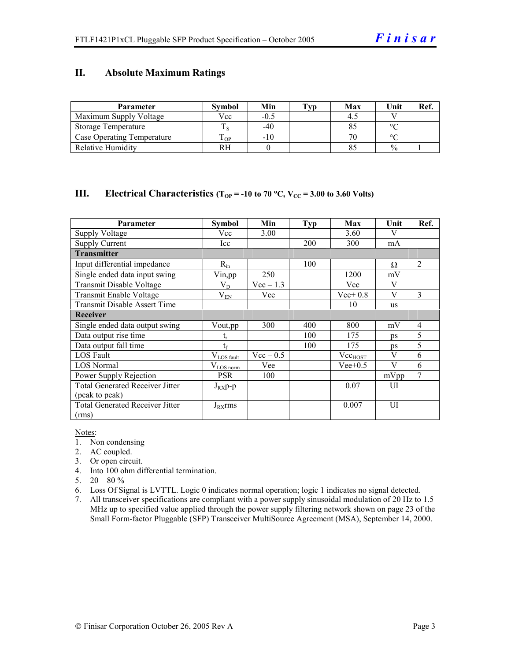#### **II. Absolute Maximum Ratings**

| <b>Parameter</b>           | <b>Symbol</b> | Min    | Tvp | Max | Unit          | Ref. |
|----------------------------|---------------|--------|-----|-----|---------------|------|
| Maximum Supply Voltage     | Vcc           | $-0.5$ |     |     |               |      |
| Storage Temperature        |               | $-40$  |     |     | $\circ$       |      |
| Case Operating Temperature | OP-           | $-10$  |     | 70  | $\Omega$      |      |
| Relative Humidity          |               |        |     |     | $\frac{0}{0}$ |      |

#### **III.** Electrical Characteristics ( $T_{OP}$  = -10 to 70 °C,  $V_{CC}$  = 3.00 to 3.60 Volts)

| Parameter                              | Symbol                 | Min         | Typ | Max                 | Unit | Ref.           |
|----------------------------------------|------------------------|-------------|-----|---------------------|------|----------------|
| <b>Supply Voltage</b>                  | Vcc                    | 3.00        |     | 3.60                | V    |                |
| <b>Supply Current</b>                  | Icc                    |             | 200 | 300                 | mA   |                |
| <b>Transmitter</b>                     |                        |             |     |                     |      |                |
| Input differential impedance           | $R_{in}$               |             | 100 |                     | Ω    | 2              |
| Single ended data input swing          | Vin, pp                | 250         |     | 1200                | mV   |                |
| Transmit Disable Voltage               | $V_D$                  | $Vec-1.3$   |     | Vcc                 | V    |                |
| Transmit Enable Voltage                | $V_{EN}$               | Vee         |     | $Vee+0.8$           | V    | 3              |
| <b>Transmit Disable Assert Time</b>    |                        |             |     | 10                  | us   |                |
| <b>Receiver</b>                        |                        |             |     |                     |      |                |
| Single ended data output swing         | Vout,pp                | 300         | 400 | 800                 | mV   | $\overline{4}$ |
| Data output rise time                  |                        |             | 100 | 175                 | ps   | 5              |
| Data output fall time                  | $t_{\rm f}$            |             | 100 | 175                 | ps   | 5              |
| LOS Fault                              | $V_{\text{LOS fault}}$ | $Vec - 0.5$ |     | Vec <sub>HOST</sub> | V    | 6              |
| <b>LOS Normal</b>                      | $V_{LOS\,norm}$        | Vee         |     | $Vee+0.5$           | V    | 6              |
| Power Supply Rejection                 | <b>PSR</b>             | 100         |     |                     | mVpp |                |
| <b>Total Generated Receiver Jitter</b> | $J_{RX}p-p$            |             |     | 0.07                | UI   |                |
| (peak to peak)                         |                        |             |     |                     |      |                |
| <b>Total Generated Receiver Jitter</b> | $J_{RX}$ rms           |             |     | 0.007               | UI   |                |
| (rms)                                  |                        |             |     |                     |      |                |

Notes:

- 1. Non condensing
- 2. AC coupled.
- 3. Or open circuit.
- 4. Into 100 ohm differential termination.
- 5.  $20 80 \%$
- 6. Loss Of Signal is LVTTL. Logic 0 indicates normal operation; logic 1 indicates no signal detected.
- 7. All transceiver specifications are compliant with a power supply sinusoidal modulation of 20 Hz to 1.5 MHz up to specified value applied through the power supply filtering network shown on page 23 of the Small Form-factor Pluggable (SFP) Transceiver MultiSource Agreement (MSA), September 14, 2000.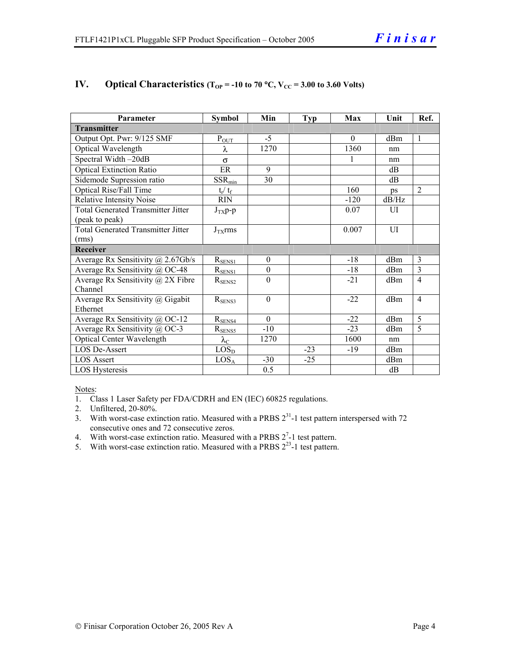| Parameter                                 | <b>Symbol</b>          | Min              | <b>Typ</b> | Max      | Unit           | Ref.           |  |
|-------------------------------------------|------------------------|------------------|------------|----------|----------------|----------------|--|
| <b>Transmitter</b>                        |                        |                  |            |          |                |                |  |
| Output Opt. Pwr: 9/125 SMF                | $P_{OUT}$              | $-5$             |            | $\theta$ | dBm            | 1              |  |
| Optical Wavelength                        | λ                      | 1270             |            | 1360     | nm             |                |  |
| Spectral Width-20dB                       | $\sigma$               |                  |            |          | nm             |                |  |
| <b>Optical Extinction Ratio</b>           | ER                     | 9                |            |          | dB             |                |  |
| Sidemode Supression ratio                 | $SSR_{min}$            | 30               |            |          | dB             |                |  |
| <b>Optical Rise/Fall Time</b>             | $t_r / t_f$            |                  |            | 160      | ps             | $\overline{2}$ |  |
| Relative Intensity Noise                  | <b>RIN</b>             |                  |            | $-120$   | dB/Hz          |                |  |
| <b>Total Generated Transmitter Jitter</b> | $J_{TX}p-p$            |                  |            | 0.07     | $\overline{U}$ |                |  |
| (peak to peak)                            |                        |                  |            |          |                |                |  |
| <b>Total Generated Transmitter Jitter</b> | $J_{TX}$ rms           |                  |            | 0.007    | UI             |                |  |
| (rms)                                     |                        |                  |            |          |                |                |  |
| <b>Receiver</b>                           |                        |                  |            |          |                |                |  |
| Average Rx Sensitivity @ 2.67Gb/s         | $R_{SENS1}$            | $\theta$         |            | $-18$    | dBm            | 3              |  |
| Average Rx Sensitivity @ OC-48            | $R_{SENS1}$            | $\boldsymbol{0}$ |            | $-18$    | dBm            | 3              |  |
| Average Rx Sensitivity $\omega$ 2X Fibre  | $R_{\rm SENS2}$        | $\theta$         |            | $-21$    | dBm            | $\overline{4}$ |  |
| Channel                                   |                        |                  |            |          |                |                |  |
| Average Rx Sensitivity @ Gigabit          | $R_{\text{SENS3}}$     | $\theta$         |            | $-22$    | dBm            | $\overline{4}$ |  |
| Ethernet                                  |                        |                  |            |          |                |                |  |
| Average Rx Sensitivity @ OC-12            | $R_{SENS4}$            | $\Omega$         |            | $-22$    | dBm            | 5              |  |
| Average Rx Sensitivity @ OC-3             | $R_{SENS5}$            | $-10$            |            | $-23$    | dBm            | 5              |  |
| <b>Optical Center Wavelength</b>          | $\lambda_{\mathrm{C}}$ | 1270             |            | 1600     | nm             |                |  |
| <b>LOS De-Assert</b>                      | LOS <sub>D</sub>       |                  | $-23$      | $-19$    | dBm            |                |  |
| <b>LOS Assert</b>                         | LOS <sub>A</sub>       | $-30$            | $-25$      |          | dBm            |                |  |
| LOS Hysteresis                            |                        | 0.5              |            |          | dB             |                |  |

#### **IV.** Optical Characteristics ( $T_{OP}$  = -10 to 70 °C,  $V_{CC}$  = 3.00 to 3.60 Volts)

Notes:

1. Class 1 Laser Safety per FDA/CDRH and EN (IEC) 60825 regulations.

2. Unfiltered, 20-80%.

- 3. With worst-case extinction ratio. Measured with a PRBS  $2^{31}$ -1 test pattern interspersed with 72 consecutive ones and 72 consecutive zeros.
- 4. With worst-case extinction ratio. Measured with a PRBS  $2^7$ -1 test pattern.
- 5. With worst-case extinction ratio. Measured with a PRBS  $2^{23}$ -1 test pattern.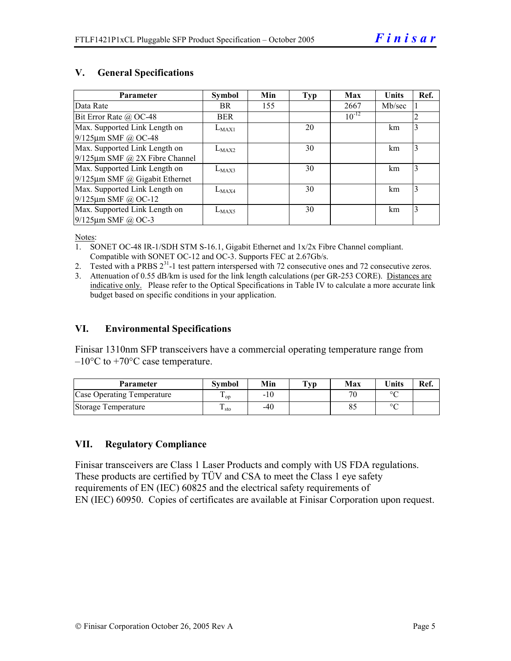#### **V. General Specifications**

| Parameter                            | <b>Symbol</b> | Min | Typ | Max        | <b>Units</b> | Ref. |
|--------------------------------------|---------------|-----|-----|------------|--------------|------|
| Data Rate                            | BR.           | 155 |     | 2667       | Mb/sec       |      |
| Bit Error Rate $\omega$ OC-48        | <b>BER</b>    |     |     | $10^{-12}$ |              | 2    |
| Max. Supported Link Length on        | $L_{MAX1}$    |     | 20  |            | km           | 3    |
| 9/125µm SMF @ OC-48                  |               |     |     |            |              |      |
| Max. Supported Link Length on        | $L_{MAX2}$    |     | 30  |            | km           | 3    |
| $9/125 \mu m$ SMF @ 2X Fibre Channel |               |     |     |            |              |      |
| Max. Supported Link Length on        | $L_{MAX3}$    |     | 30  |            | km           | 3    |
| $9/125 \mu m$ SMF @ Gigabit Ethernet |               |     |     |            |              |      |
| Max. Supported Link Length on        | $L_{MAX4}$    |     | 30  |            | km           | 3    |
| $9/125 \mu m$ SMF @ OC-12            |               |     |     |            |              |      |
| Max. Supported Link Length on        | $L_{MAX5}$    |     | 30  |            | km           | 3    |
| $9/125$ µm SMF @ OC-3                |               |     |     |            |              |      |

Notes:

- 1. SONET OC-48 IR-1/SDH STM S-16.1, Gigabit Ethernet and 1x/2x Fibre Channel compliant. Compatible with SONET OC-12 and OC-3. Supports FEC at 2.67Gb/s.
- 2. Tested with a PRBS  $2^{31}$ -1 test pattern interspersed with 72 consecutive ones and 72 consecutive zeros.
- 3. Attenuation of 0.55 dB/km is used for the link length calculations (per GR-253 CORE). Distances are indicative only. Please refer to the Optical Specifications in Table IV to calculate a more accurate link budget based on specific conditions in your application.

#### **VI. Environmental Specifications**

Finisar 1310nm SFP transceivers have a commercial operating temperature range from  $-10\degree$ C to  $+70\degree$ C case temperature.

| Parameter                  | Svmbol          | Min   | $\mathbf{T}_{\mathbf{V}\mathbf{p}}$ | Max                      | <b>Units</b> | Ref. |
|----------------------------|-----------------|-------|-------------------------------------|--------------------------|--------------|------|
| Case Operating Temperature | <sup>L</sup> OD | $-10$ |                                     | $\overline{\phantom{a}}$ | $\circ$      |      |
| Storage Temperature        | · sto           | -40   |                                     |                          | $\sim$       |      |

#### **VII. Regulatory Compliance**

Finisar transceivers are Class 1 Laser Products and comply with US FDA regulations. These products are certified by TÜV and CSA to meet the Class 1 eye safety requirements of EN (IEC) 60825 and the electrical safety requirements of EN (IEC) 60950. Copies of certificates are available at Finisar Corporation upon request.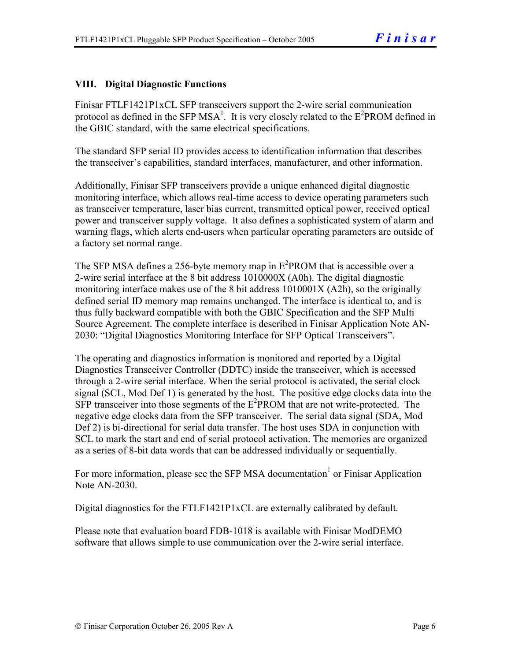### **VIII. Digital Diagnostic Functions**

Finisar FTLF1421P1xCL SFP transceivers support the 2-wire serial communication protocol as defined in the SFP MSA<sup>1</sup>. It is very closely related to the  $E^2$ PROM defined in the GBIC standard, with the same electrical specifications.

The standard SFP serial ID provides access to identification information that describes the transceiver's capabilities, standard interfaces, manufacturer, and other information.

Additionally, Finisar SFP transceivers provide a unique enhanced digital diagnostic monitoring interface, which allows real-time access to device operating parameters such as transceiver temperature, laser bias current, transmitted optical power, received optical power and transceiver supply voltage. It also defines a sophisticated system of alarm and warning flags, which alerts end-users when particular operating parameters are outside of a factory set normal range.

The SFP MSA defines a 256-byte memory map in  $E^2$ PROM that is accessible over a 2-wire serial interface at the 8 bit address 1010000X (A0h). The digital diagnostic monitoring interface makes use of the 8 bit address 1010001X (A2h), so the originally defined serial ID memory map remains unchanged. The interface is identical to, and is thus fully backward compatible with both the GBIC Specification and the SFP Multi Source Agreement. The complete interface is described in Finisar Application Note AN-2030: "Digital Diagnostics Monitoring Interface for SFP Optical Transceivers".

The operating and diagnostics information is monitored and reported by a Digital Diagnostics Transceiver Controller (DDTC) inside the transceiver, which is accessed through a 2-wire serial interface. When the serial protocol is activated, the serial clock signal (SCL, Mod Def 1) is generated by the host. The positive edge clocks data into the  $SFP$  transceiver into those segments of the  $E^2$ PROM that are not write-protected. The negative edge clocks data from the SFP transceiver. The serial data signal (SDA, Mod Def 2) is bi-directional for serial data transfer. The host uses SDA in conjunction with SCL to mark the start and end of serial protocol activation. The memories are organized as a series of 8-bit data words that can be addressed individually or sequentially.

For more information, please see the SFP MSA documentation<sup>1</sup> or Finisar Application Note AN-2030.

Digital diagnostics for the FTLF1421P1xCL are externally calibrated by default.

Please note that evaluation board FDB-1018 is available with Finisar ModDEMO software that allows simple to use communication over the 2-wire serial interface.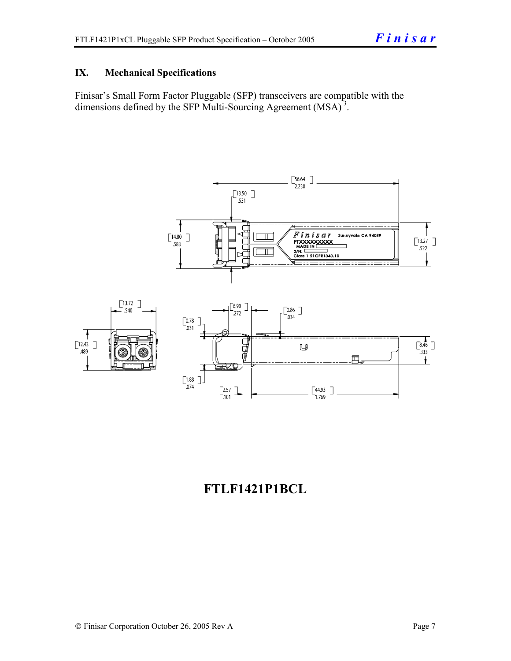### **IX. Mechanical Specifications**

Finisar's Small Form Factor Pluggable (SFP) transceivers are compatible with the dimensions defined by the SFP Multi-Sourcing Agreement (MSA)<sup>3</sup>.



# **FTLF1421P1BCL**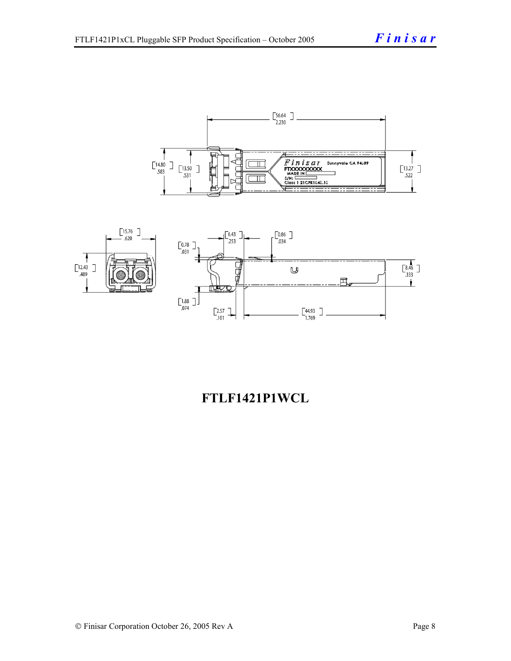



# **FTLF1421P1WCL**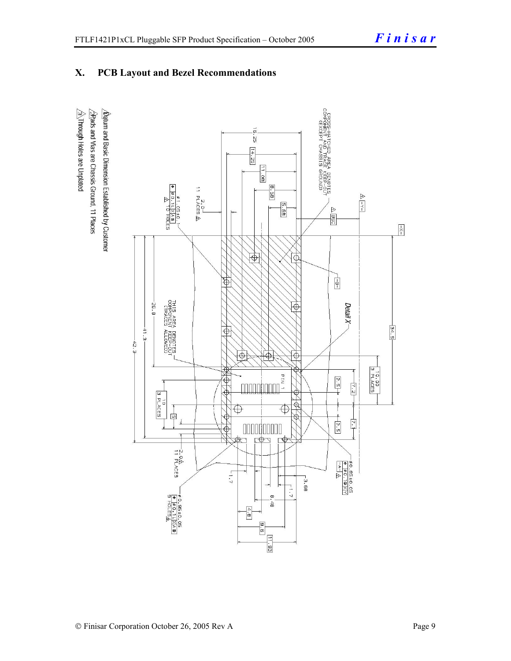### **X. PCB Layout and Bezel Recommendations**

 $\triangleq$ Through Holes are Unplated  $\Delta$ atum and Basic Dimension Established by Customer  $\triangle$ Rads and Vias are Chassis Ground, 11 Places

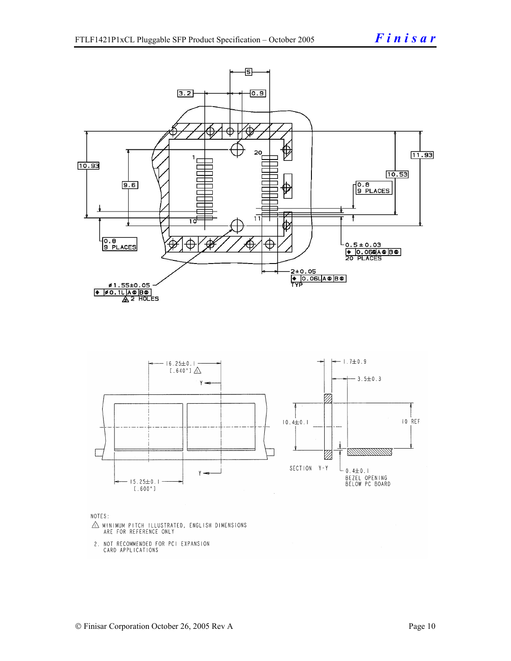

NOTES:

- $\triangle$  MINIMUM PITCH ILLUSTRATED, ENGLISH DIMENSIONS ARE FOR REFERENCE ONLY
- 2. NOT RECOMMENDED FOR PCI EXPANSION CARD APPLICATIONS